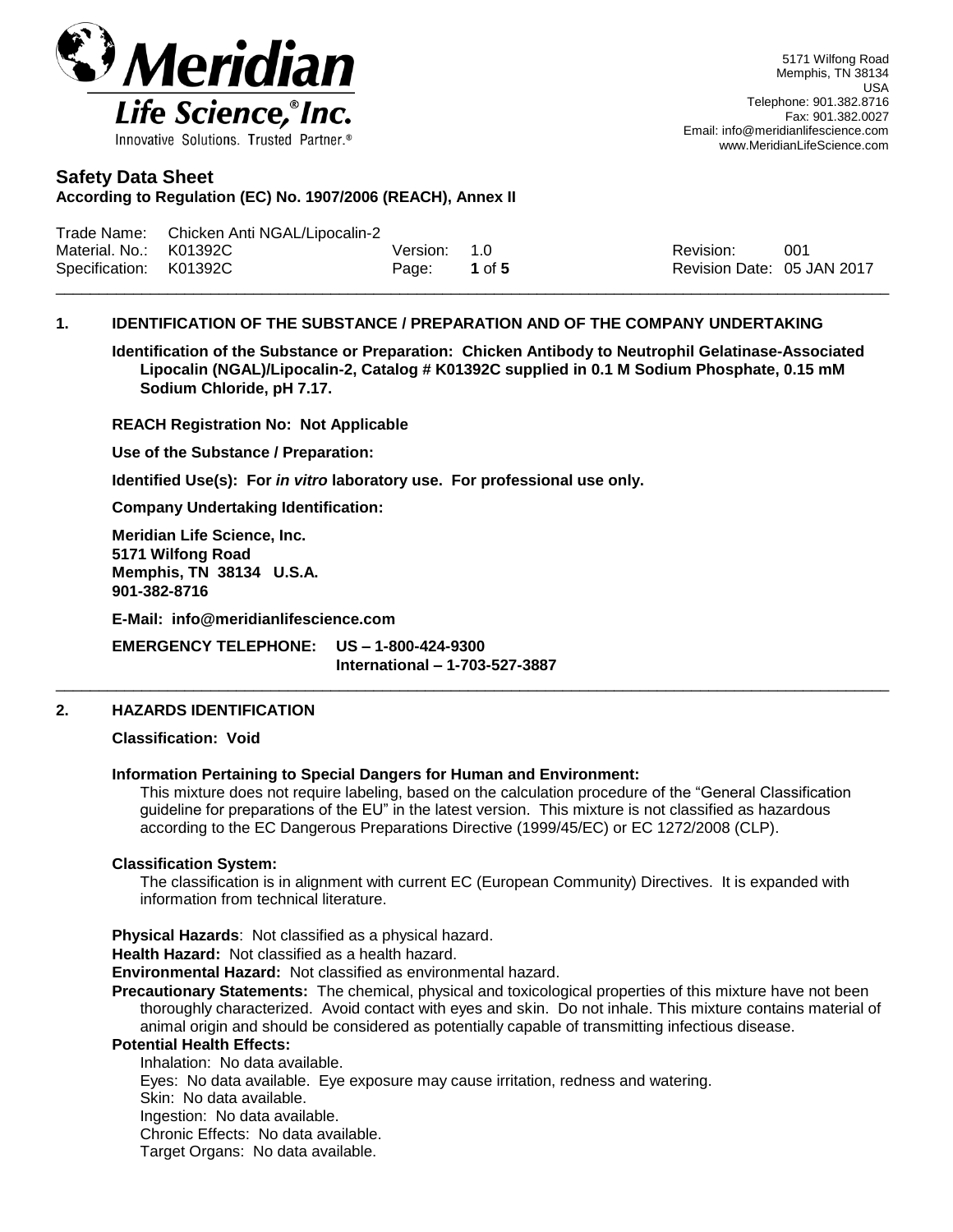

**According to Regulation (EC) No. 1907/2006 (REACH), Annex II**

|                        | Trade Name: Chicken Anti NGAL/Lipocalin-2 |              |        |                            |      |
|------------------------|-------------------------------------------|--------------|--------|----------------------------|------|
| Material, No.: K01392C |                                           | Version: 1.0 |        | Revision:                  | -001 |
| Specification: K01392C |                                           | Page:        | 1 of 5 | Revision Date: 05 JAN 2017 |      |
|                        |                                           |              |        |                            |      |

# **1. IDENTIFICATION OF THE SUBSTANCE / PREPARATION AND OF THE COMPANY UNDERTAKING**

**Identification of the Substance or Preparation: Chicken Antibody to Neutrophil Gelatinase-Associated Lipocalin (NGAL)/Lipocalin-2, Catalog # K01392C supplied in 0.1 M Sodium Phosphate, 0.15 mM Sodium Chloride, pH 7.17.**

**REACH Registration No: Not Applicable**

**Use of the Substance / Preparation:**

**Identified Use(s): For** *in vitro* **laboratory use. For professional use only.**

**Company Undertaking Identification:**

**Meridian Life Science, Inc. 5171 Wilfong Road Memphis, TN 38134 U.S.A. 901-382-8716**

**E-Mail: info@meridianlifescience.com**

**EMERGENCY TELEPHONE: US – 1-800-424-9300 International – 1-703-527-3887**

# **2. HAZARDS IDENTIFICATION**

**Classification: Void**

#### **Information Pertaining to Special Dangers for Human and Environment:**

This mixture does not require labeling, based on the calculation procedure of the "General Classification guideline for preparations of the EU" in the latest version. This mixture is not classified as hazardous according to the EC Dangerous Preparations Directive (1999/45/EC) or EC 1272/2008 (CLP).

 $\_$  ,  $\_$  ,  $\_$  ,  $\_$  ,  $\_$  ,  $\_$  ,  $\_$  ,  $\_$  ,  $\_$  ,  $\_$  ,  $\_$  ,  $\_$  ,  $\_$  ,  $\_$  ,  $\_$  ,  $\_$  ,  $\_$  ,  $\_$  ,  $\_$  ,  $\_$  ,  $\_$  ,  $\_$  ,  $\_$  ,  $\_$  ,  $\_$  ,  $\_$  ,  $\_$  ,  $\_$  ,  $\_$  ,  $\_$  ,  $\_$  ,  $\_$  ,  $\_$  ,  $\_$  ,  $\_$  ,  $\_$  ,  $\_$  ,

#### **Classification System:**

The classification is in alignment with current EC (European Community) Directives. It is expanded with information from technical literature.

**Physical Hazards**: Not classified as a physical hazard.

**Health Hazard:** Not classified as a health hazard.

**Environmental Hazard:** Not classified as environmental hazard.

**Precautionary Statements:** The chemical, physical and toxicological properties of this mixture have not been thoroughly characterized. Avoid contact with eyes and skin. Do not inhale. This mixture contains material of animal origin and should be considered as potentially capable of transmitting infectious disease.

#### **Potential Health Effects:**

Inhalation: No data available. Eyes: No data available. Eye exposure may cause irritation, redness and watering. Skin: No data available. Ingestion: No data available. Chronic Effects: No data available. Target Organs: No data available.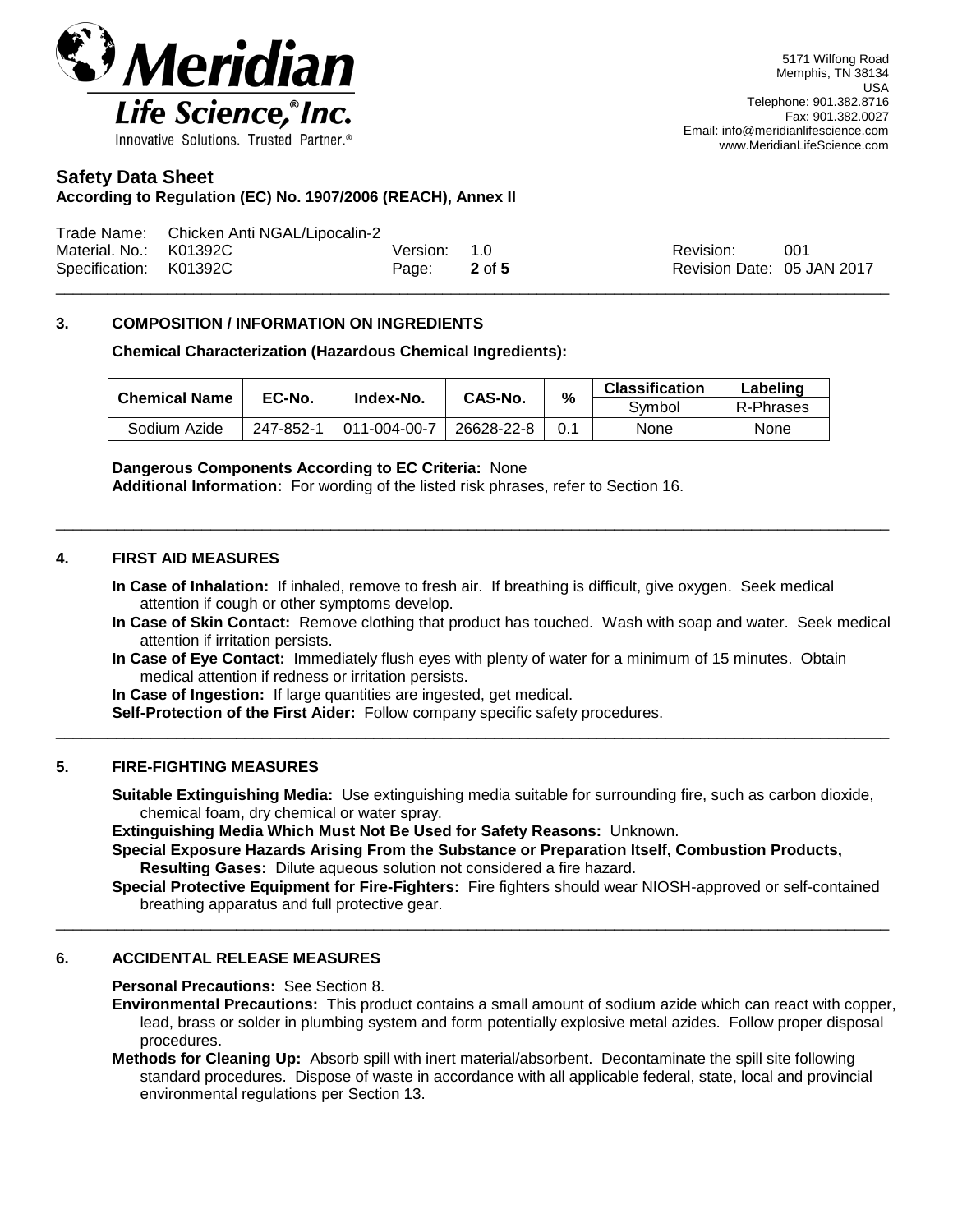

## **According to Regulation (EC) No. 1907/2006 (REACH), Annex II**

|                        | Trade Name: Chicken Anti NGAL/Lipocalin-2 |              |                            |      |
|------------------------|-------------------------------------------|--------------|----------------------------|------|
| Material. No.: K01392C |                                           | Version: 1.0 | Revision:                  | -001 |
| Specification: K01392C |                                           | Page: 2 of 5 | Revision Date: 05 JAN 2017 |      |
|                        |                                           |              |                            |      |

## **3. COMPOSITION / INFORMATION ON INGREDIENTS**

#### **Chemical Characterization (Hazardous Chemical Ingredients):**

| <b>Chemical Name</b> | EC-No.    |              | <b>CAS-No.</b> |  | <b>Classification</b> | Labeling    |
|----------------------|-----------|--------------|----------------|--|-----------------------|-------------|
|                      |           | Index-No.    | %              |  | Svmbol                | R-Phrases   |
| Sodium Azide         | 247-852-1 | 011-004-00-7 | 26628-22-8     |  | None                  | <b>None</b> |

#### **Dangerous Components According to EC Criteria:** None

**Additional Information:** For wording of the listed risk phrases, refer to Section 16.

#### **4. FIRST AID MEASURES**

**In Case of Inhalation:** If inhaled, remove to fresh air. If breathing is difficult, give oxygen. Seek medical attention if cough or other symptoms develop.

 $\_$  ,  $\_$  ,  $\_$  ,  $\_$  ,  $\_$  ,  $\_$  ,  $\_$  ,  $\_$  ,  $\_$  ,  $\_$  ,  $\_$  ,  $\_$  ,  $\_$  ,  $\_$  ,  $\_$  ,  $\_$  ,  $\_$  ,  $\_$  ,  $\_$  ,  $\_$  ,  $\_$  ,  $\_$  ,  $\_$  ,  $\_$  ,  $\_$  ,  $\_$  ,  $\_$  ,  $\_$  ,  $\_$  ,  $\_$  ,  $\_$  ,  $\_$  ,  $\_$  ,  $\_$  ,  $\_$  ,  $\_$  ,  $\_$  ,

- **In Case of Skin Contact:** Remove clothing that product has touched. Wash with soap and water. Seek medical attention if irritation persists.
- **In Case of Eye Contact:** Immediately flush eyes with plenty of water for a minimum of 15 minutes. Obtain medical attention if redness or irritation persists.

 $\_$  ,  $\_$  ,  $\_$  ,  $\_$  ,  $\_$  ,  $\_$  ,  $\_$  ,  $\_$  ,  $\_$  ,  $\_$  ,  $\_$  ,  $\_$  ,  $\_$  ,  $\_$  ,  $\_$  ,  $\_$  ,  $\_$  ,  $\_$  ,  $\_$  ,  $\_$  ,  $\_$  ,  $\_$  ,  $\_$  ,  $\_$  ,  $\_$  ,  $\_$  ,  $\_$  ,  $\_$  ,  $\_$  ,  $\_$  ,  $\_$  ,  $\_$  ,  $\_$  ,  $\_$  ,  $\_$  ,  $\_$  ,  $\_$  ,

**In Case of Ingestion:** If large quantities are ingested, get medical.

**Self-Protection of the First Aider:** Follow company specific safety procedures.

#### **5. FIRE-FIGHTING MEASURES**

**Suitable Extinguishing Media:** Use extinguishing media suitable for surrounding fire, such as carbon dioxide, chemical foam, dry chemical or water spray.

**Extinguishing Media Which Must Not Be Used for Safety Reasons:** Unknown.

**Special Exposure Hazards Arising From the Substance or Preparation Itself, Combustion Products, Resulting Gases:** Dilute aqueous solution not considered a fire hazard.

 $\_$  ,  $\_$  ,  $\_$  ,  $\_$  ,  $\_$  ,  $\_$  ,  $\_$  ,  $\_$  ,  $\_$  ,  $\_$  ,  $\_$  ,  $\_$  ,  $\_$  ,  $\_$  ,  $\_$  ,  $\_$  ,  $\_$  ,  $\_$  ,  $\_$  ,  $\_$  ,  $\_$  ,  $\_$  ,  $\_$  ,  $\_$  ,  $\_$  ,  $\_$  ,  $\_$  ,  $\_$  ,  $\_$  ,  $\_$  ,  $\_$  ,  $\_$  ,  $\_$  ,  $\_$  ,  $\_$  ,  $\_$  ,  $\_$  ,

**Special Protective Equipment for Fire-Fighters:** Fire fighters should wear NIOSH-approved or self-contained breathing apparatus and full protective gear.

# **6. ACCIDENTAL RELEASE MEASURES**

**Personal Precautions:** See Section 8.

- **Environmental Precautions:** This product contains a small amount of sodium azide which can react with copper, lead, brass or solder in plumbing system and form potentially explosive metal azides. Follow proper disposal procedures.
- **Methods for Cleaning Up:** Absorb spill with inert material/absorbent. Decontaminate the spill site following standard procedures. Dispose of waste in accordance with all applicable federal, state, local and provincial environmental regulations per Section 13.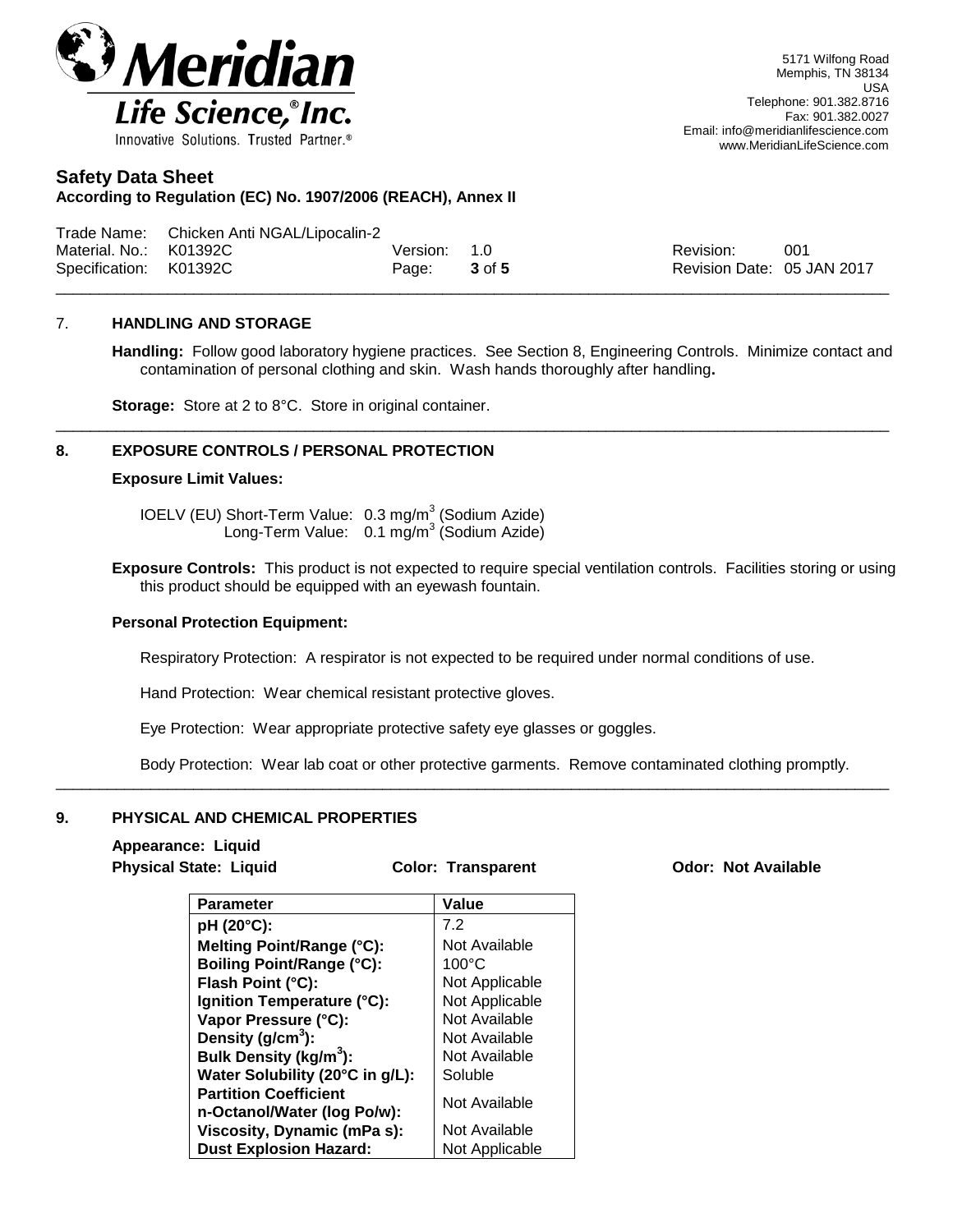

#### **According to Regulation (EC) No. 1907/2006 (REACH), Annex II**

|                        | Trade Name: Chicken Anti NGAL/Lipocalin-2 |              |                            |      |
|------------------------|-------------------------------------------|--------------|----------------------------|------|
| Material. No.: K01392C |                                           | Version: 1.0 | Revision:                  | -001 |
| Specification: K01392C |                                           | Page: 3 of 5 | Revision Date: 05 JAN 2017 |      |
|                        |                                           |              |                            |      |

\_\_\_\_\_\_\_\_\_\_\_\_\_\_\_\_\_\_\_\_\_\_\_\_\_\_\_\_\_\_\_\_\_\_\_\_\_\_\_\_\_\_\_\_\_\_\_\_\_\_\_\_\_\_\_\_\_\_\_\_\_\_\_\_\_\_\_\_\_\_\_\_\_\_\_\_\_\_\_\_\_\_\_\_\_\_\_\_\_\_\_\_\_\_\_\_\_

#### 7. **HANDLING AND STORAGE**

**Handling:** Follow good laboratory hygiene practices. See Section 8, Engineering Controls. Minimize contact and contamination of personal clothing and skin. Wash hands thoroughly after handling**.**

**Storage:** Store at 2 to 8°C. Store in original container.

#### **8. EXPOSURE CONTROLS / PERSONAL PROTECTION**

#### **Exposure Limit Values:**

IOELV (EU) Short-Term Value: 0.3 mg/m<sup>3</sup> (Sodium Azide) Long-Term Value: 0.1 mg/m<sup>3</sup> (Sodium Azide)

**Exposure Controls:** This product is not expected to require special ventilation controls. Facilities storing or using this product should be equipped with an eyewash fountain.

#### **Personal Protection Equipment:**

Respiratory Protection: A respirator is not expected to be required under normal conditions of use.

Hand Protection: Wear chemical resistant protective gloves.

Eye Protection: Wear appropriate protective safety eye glasses or goggles.

Body Protection: Wear lab coat or other protective garments. Remove contaminated clothing promptly.

#### **9. PHYSICAL AND CHEMICAL PROPERTIES**

# **Appearance: Liquid**

 $\overline{\phantom{a}}$  , and the set of the set of the set of the set of the set of the set of the set of the set of the set of the set of the set of the set of the set of the set of the set of the set of the set of the set of the s

**Physical State: Liquid Color: Transparent Odor: Not Available**

| <b>Parameter</b>                   | Value           |
|------------------------------------|-----------------|
| pH (20°C):                         | 7.2             |
| Melting Point/Range (°C):          | Not Available   |
| <b>Boiling Point/Range (°C):</b>   | $100^{\circ}$ C |
| Flash Point (°C):                  | Not Applicable  |
| Ignition Temperature (°C):         | Not Applicable  |
| Vapor Pressure (°C):               | Not Available   |
| Density $(q/cm3)$ :                | Not Available   |
| Bulk Density (kg/m <sup>3</sup> ): | Not Available   |
| Water Solubility (20°C in g/L):    | Soluble         |
| <b>Partition Coefficient</b>       | Not Available   |
| n-Octanol/Water (log Po/w):        |                 |
| <b>Viscosity, Dynamic (mPa s):</b> | Not Available   |
| <b>Dust Explosion Hazard:</b>      | Not Applicable  |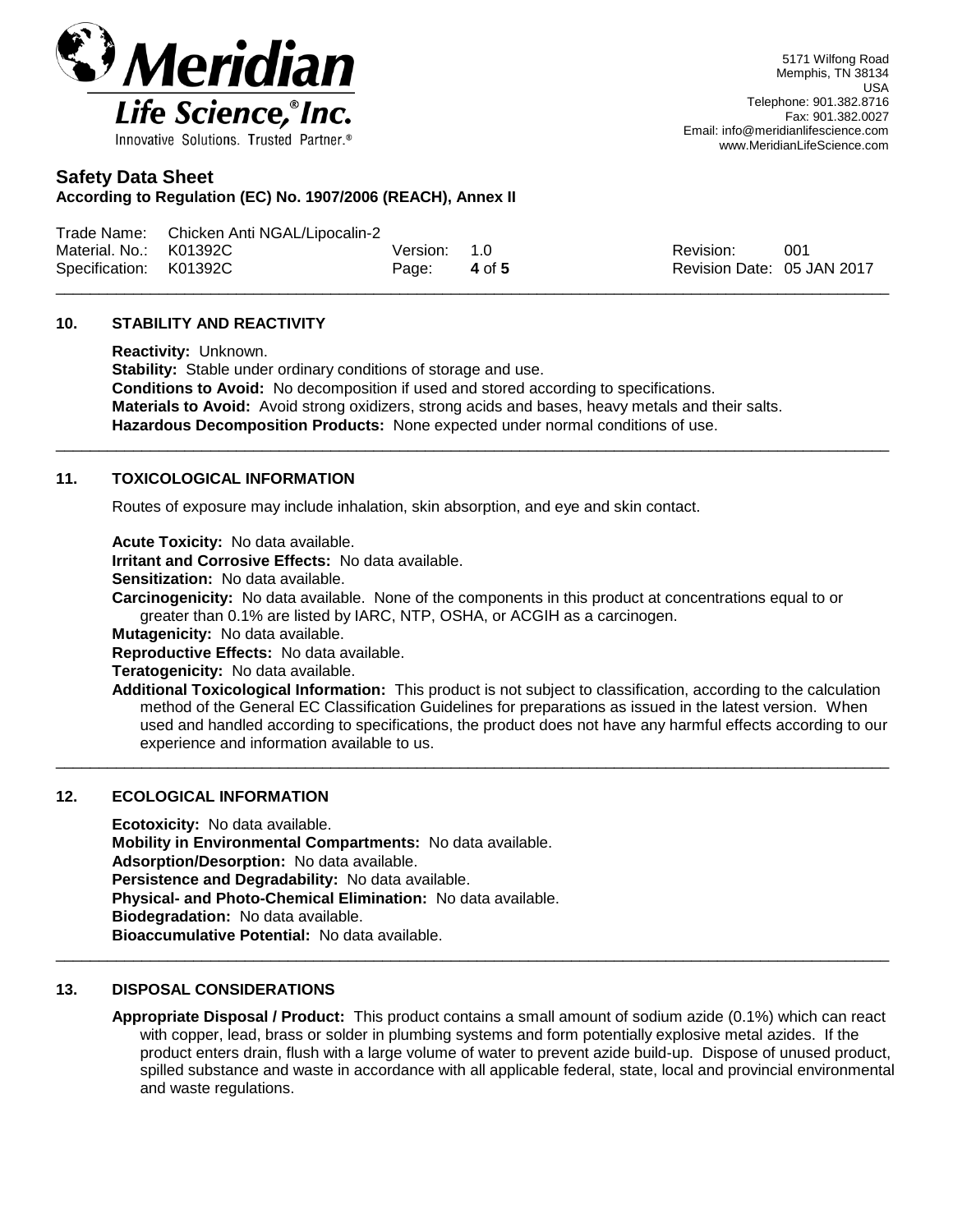

**According to Regulation (EC) No. 1907/2006 (REACH), Annex II**

|                        | Trade Name: Chicken Anti NGAL/Lipocalin-2 |              |        |                            |     |
|------------------------|-------------------------------------------|--------------|--------|----------------------------|-----|
| Material, No.: K01392C |                                           | Version: 1.0 |        | Revision:                  | 001 |
| Specification: K01392C |                                           | Page:        | 4 of 5 | Revision Date: 05 JAN 2017 |     |
|                        |                                           |              |        |                            |     |

## **10. STABILITY AND REACTIVITY**

**Reactivity:** Unknown. **Stability:** Stable under ordinary conditions of storage and use. **Conditions to Avoid:** No decomposition if used and stored according to specifications. **Materials to Avoid:** Avoid strong oxidizers, strong acids and bases, heavy metals and their salts. **Hazardous Decomposition Products:** None expected under normal conditions of use.

 $\_$  ,  $\_$  ,  $\_$  ,  $\_$  ,  $\_$  ,  $\_$  ,  $\_$  ,  $\_$  ,  $\_$  ,  $\_$  ,  $\_$  ,  $\_$  ,  $\_$  ,  $\_$  ,  $\_$  ,  $\_$  ,  $\_$  ,  $\_$  ,  $\_$  ,  $\_$  ,  $\_$  ,  $\_$  ,  $\_$  ,  $\_$  ,  $\_$  ,  $\_$  ,  $\_$  ,  $\_$  ,  $\_$  ,  $\_$  ,  $\_$  ,  $\_$  ,  $\_$  ,  $\_$  ,  $\_$  ,  $\_$  ,  $\_$  ,

# **11. TOXICOLOGICAL INFORMATION**

Routes of exposure may include inhalation, skin absorption, and eye and skin contact.

**Acute Toxicity:** No data available.

**Irritant and Corrosive Effects:** No data available.

**Sensitization:** No data available.

**Carcinogenicity:** No data available. None of the components in this product at concentrations equal to or greater than 0.1% are listed by IARC, NTP, OSHA, or ACGIH as a carcinogen.

 $\_$  ,  $\_$  ,  $\_$  ,  $\_$  ,  $\_$  ,  $\_$  ,  $\_$  ,  $\_$  ,  $\_$  ,  $\_$  ,  $\_$  ,  $\_$  ,  $\_$  ,  $\_$  ,  $\_$  ,  $\_$  ,  $\_$  ,  $\_$  ,  $\_$  ,  $\_$  ,  $\_$  ,  $\_$  ,  $\_$  ,  $\_$  ,  $\_$  ,  $\_$  ,  $\_$  ,  $\_$  ,  $\_$  ,  $\_$  ,  $\_$  ,  $\_$  ,  $\_$  ,  $\_$  ,  $\_$  ,  $\_$  ,  $\_$  ,

 $\_$  ,  $\_$  ,  $\_$  ,  $\_$  ,  $\_$  ,  $\_$  ,  $\_$  ,  $\_$  ,  $\_$  ,  $\_$  ,  $\_$  ,  $\_$  ,  $\_$  ,  $\_$  ,  $\_$  ,  $\_$  ,  $\_$  ,  $\_$  ,  $\_$  ,  $\_$  ,  $\_$  ,  $\_$  ,  $\_$  ,  $\_$  ,  $\_$  ,  $\_$  ,  $\_$  ,  $\_$  ,  $\_$  ,  $\_$  ,  $\_$  ,  $\_$  ,  $\_$  ,  $\_$  ,  $\_$  ,  $\_$  ,  $\_$  ,

**Mutagenicity:** No data available.

**Reproductive Effects:** No data available.

**Teratogenicity:** No data available.

**Additional Toxicological Information:** This product is not subject to classification, according to the calculation method of the General EC Classification Guidelines for preparations as issued in the latest version. When used and handled according to specifications, the product does not have any harmful effects according to our experience and information available to us.

# **12. ECOLOGICAL INFORMATION**

**Ecotoxicity:** No data available. **Mobility in Environmental Compartments:** No data available. **Adsorption/Desorption:** No data available. **Persistence and Degradability:** No data available. **Physical- and Photo-Chemical Elimination:** No data available. **Biodegradation:** No data available. **Bioaccumulative Potential:** No data available.

#### **13. DISPOSAL CONSIDERATIONS**

**Appropriate Disposal / Product:** This product contains a small amount of sodium azide (0.1%) which can react with copper, lead, brass or solder in plumbing systems and form potentially explosive metal azides. If the product enters drain, flush with a large volume of water to prevent azide build-up. Dispose of unused product, spilled substance and waste in accordance with all applicable federal, state, local and provincial environmental and waste regulations.